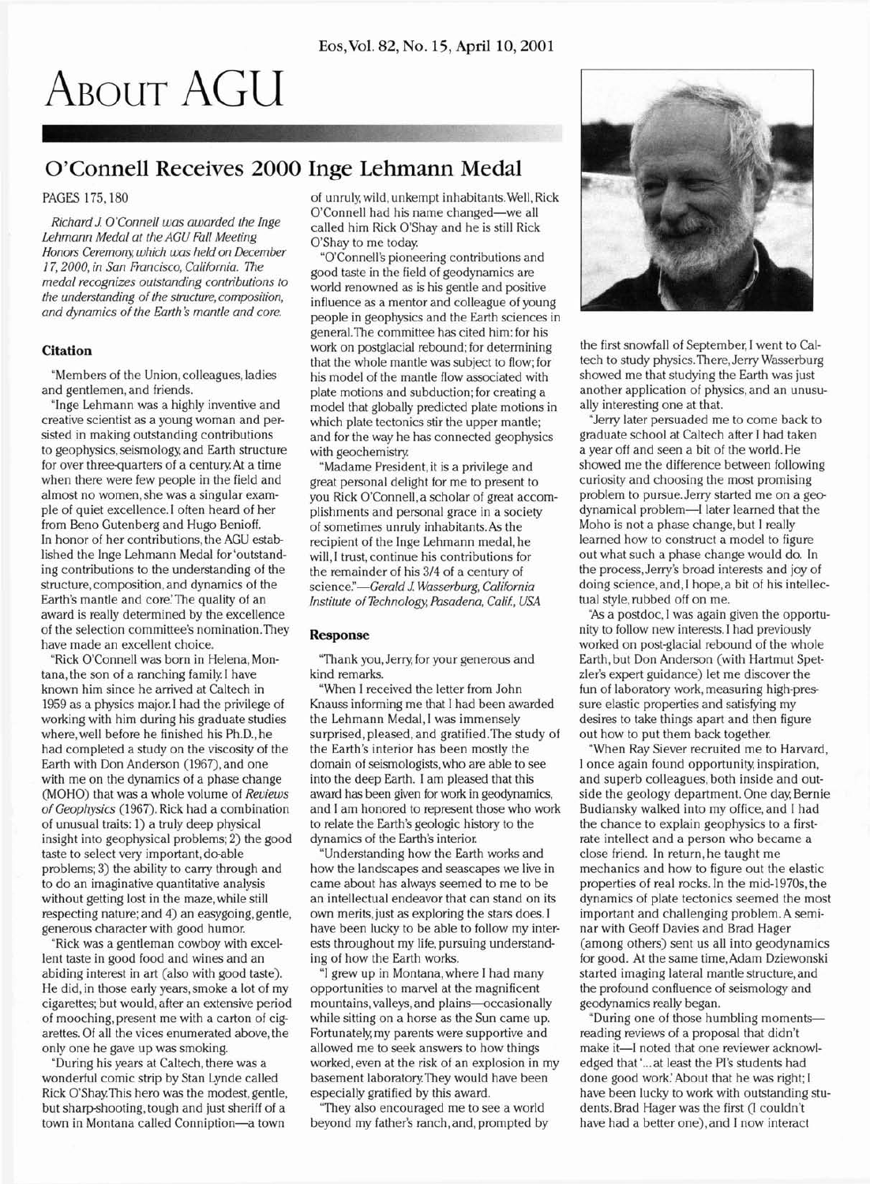# **ABOUT AGU**

# **O'Connell Receives 2000 Inge Lehmann Medal**

Richard 1 O'Connell was awarded the Inge Lehmann Medal at the AGU Fall Meeting Honors Ceremony, which was held on December I 7,2000, in San Francisco, California. The medal recognizes outstanding contributions to the understanding of the structure, composition, and dynamics of the Earth's mantle and core.

#### **Citation**

"Members of the Union, colleagues, ladies and gentlemen, and friends.

"lnge Lehmann was a highly inventive and creative scientist as a young woman and persisted in making outstanding contributions to geophysics, seismology and Earth structure for over threequarters of a century At a time when there were few people in the field and almost no women, she was a singular example of quiet excellence. I often heard of her from Beno Gutenberg and Hugo Benioff. In honor of her contributions, the AGU established the lnge Lehmann Medal for 'outstanding contributions to the understanding of the structure, composition, and dynamics of the Earth's mantle and core.'The quality of an award is really determined by the excellence of the selection committee's nomination.They have made an excellent choice.

"Rick O'Connell was born in Helena, Montana, the son of a ranching family **l** have known him since he arrived at Caltech in 1959 as a physics major. I had the privilege of working with him during his graduate studies where,well before he finished his Ph.D., he had completed a study on the viscosity of the Earth with Don Anderson (1967), and one with me on the dynamics of a phase change (MOHO) that was a whole volume of Reviews of Geophysics (1967). Rick had a combination of unusual traits: 1) a truly deep physical insight into geophysical problems; 2) the good taste to select very important, do-able problems; **3)** the ability to carry through and to do an imaginative quantitative analysis without getting lost in the maze,while still respecting nature; and 4) an easygoing, gentle, generous character with good humor.

"Rick was a gentleman cowboy with excellent taste in good food and wines and an abiding interest in art (also with good taste). He did, in those early years, smoke a lot of my cigarettes; but would, after an extensive period of mooching, present me with a carton of cigarettes. Of all the vices enumerated above, the only one he gave up was smoking.

"During his years at Caltech, there was a wonderful comic strip by Stan Lynde called Rick O'ShayThis hero was the modest,gentle, but sharpshooting, tough and just sheriff of a town in Montana called Conniption-a town

PAGES 175,180 of unruly; wild, unkempt inhabitants.Well, Rick O'Connell had his name changed-we all called him Rick O'Shay and he is still Rick O'Shay to me today

> "O'Connell's pioneering contributions and good taste in the field of geodynamics are world renowned as is his gentle and positive influence as a mentor and colleague of young people in geophysics and the Earth sciences in general. The committee has cited him: for his work on postglacial rebound; for determining that the whole mantle was subject to flow; for his model of the mantle flow associated with plate motions and subduction; for creating a model that globally predicted plate motions in which plate tectonics stir the upper mantle; and for the way he has connected geophysics with geochemistry

"Madame President, it is a privilege and great personal delight for me to present to you Rick O'Connell, a scholar of great accomplishments and personal grace in a society of sometimes unruly inhabitants.As the recipient of the Inge Lehmann medal, he will, l trust, continue his contributions for the remainder of his 314 of a century of science."-Gerald J. Wasserburg, California Institute of Technology, Pasadena, Calif., USA

#### **Response**

"Thank you, Jerry for your generous and kind remarks.

"When I received the letter from John Knauss informing me that I had been awarded the Lehmann Medal, I was immensely surprised, pleased, and gratified.The study of the Earth's interior has been mostly the domain of seismologists, who are able to see into the deep Earth. I am pleased that this award has been given for work in geodynamics, and 1 am honored to represent those who work to relate the Earth's geologic history to the dynamics of the Earth's interior.

"Understanding how the Earth works and how the landscapes and seascapes we live in came about has always seemed to me to be an intellectual endeavor that can stand on its own merits, just as exploring the stars does. **l**  have been lucky to be able to follow my interests throughout my life, pursuing understanding of how the Earth works.

"I grew up in Montana, where I had many opportunities to marvel at the magnificent mountains, valleys, and plains-occasionally while sitting on a horse as the Sun came up. Fortunately my parents were supportive and allowed me to seek answers to how things worked, even at the risk of an explosion in my basement IaboratoryThey would have been especially gratified by this award.

"They also encouraged me to see a world beyond my father's ranch, and, prompted by



the first snowfall of September, I went to Caltech to study physics.There, Jerry Wasserburg showed me that studying the Earth was just another application of physics, and an unusually interesting one at that.

"Jeny later persuaded me to come back to graduate school at Caltech after I had taken a year off and seen a bit of the world. He showed me the difference between following curiosity and choosing the most promising problem to pursue. Jerry started me on a geodynamical problem-I later learned that the Moho is not a phase change, but I really learned how to construct a model to figure out what such a phase change would do. In the process, Jerry's broad interests and joy of doing science, and, I hope, a bit of his intellectual style, rubbed off on me.

"As a postdoc, I was again given the opportunity to follow new interests. I had previously worked on post-glacial rebound of the whole Earth, but Don Anderson (with Hartmut Spetzler's expert guidance) let me discover the fun of laboratory work, measuring high-pressure elastic properties and satisfying my desires to take things apart and then figure out how to put them back together.

"When Ray Siever recruited me to Harvard, I once again found opportunity inspiration, and superb colleagues, both inside and outside the geology department. One day, Bernie Budiansky walked into my office, and I had the chance to explain geophysics to a firstrate intellect and a person who became a close friend. In return, he taught me mechanics and how to figure out the elastic properties of real rocks. In the mid-1970s, the dynamics of plate tectonics seemed the most important and challenging problem. A seminar with Geoff Davies and Brad Hager (among others) sent us all into geodynamics for good. At the same time,Adam Dziewonski started imaging lateral mantle structure,and the profound confluence of seismology and geodynamics really began.

"During one of those humbling momentsreading reviews of a proposal that didn't make it-I noted that one reviewer acknowledged that '... at least the PI's students had done good work:About that he was right; I have been lucky to work with outstanding students. Brad Hager was the first (I couldn't have had a better one), and I now interact